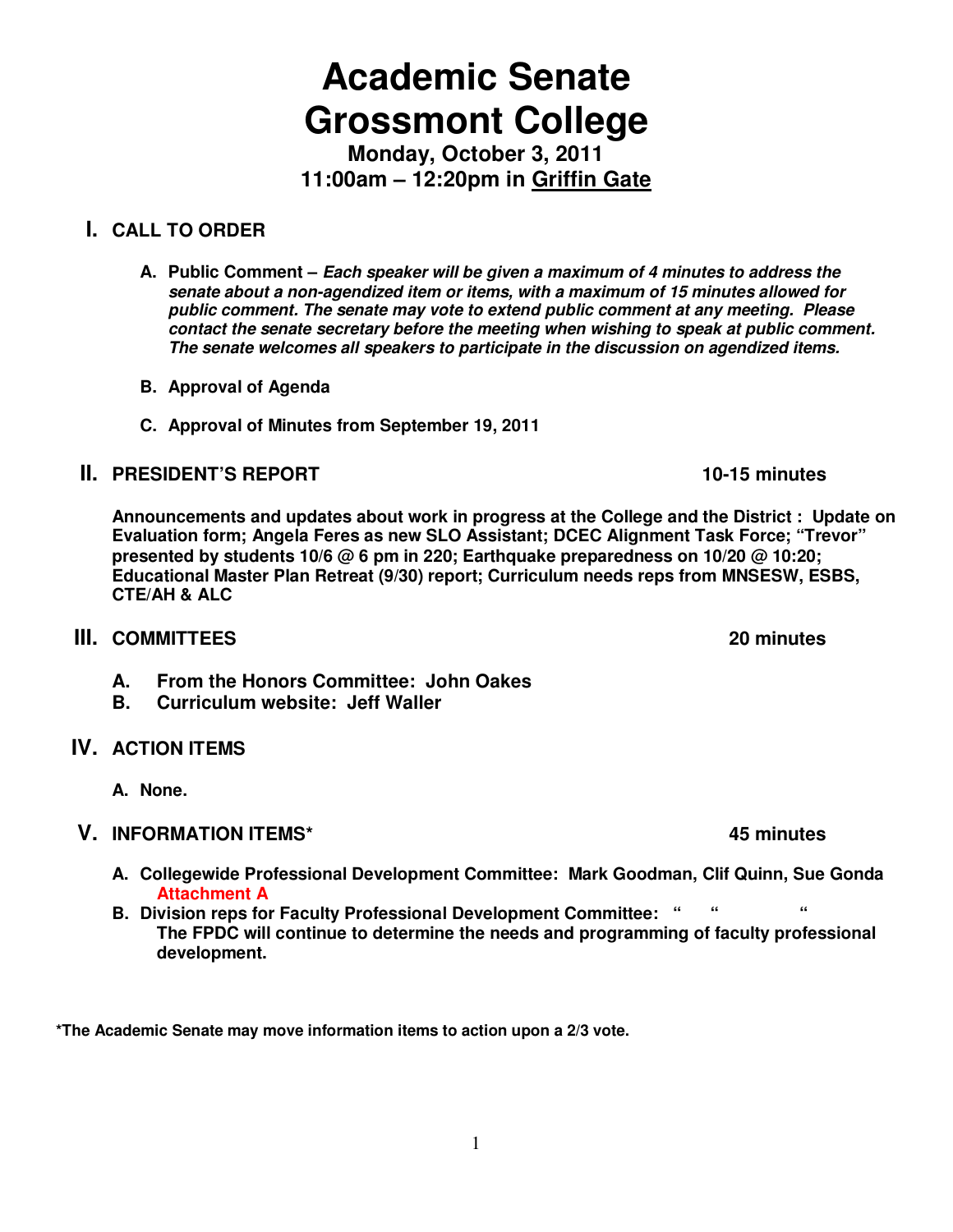# **Academic Senate Grossmont College**

**Monday, October 3, 2011 11:00am – 12:20pm in Griffin Gate** 

# **I. CALL TO ORDER**

- **A. Public Comment Each speaker will be given a maximum of 4 minutes to address the senate about a non-agendized item or items, with a maximum of 15 minutes allowed for public comment. The senate may vote to extend public comment at any meeting. Please contact the senate secretary before the meeting when wishing to speak at public comment. The senate welcomes all speakers to participate in the discussion on agendized items.**
- **B. Approval of Agenda**
- **C. Approval of Minutes from September 19, 2011**

## **II. PRESIDENT'S REPORT 10-15 minutes**

**Announcements and updates about work in progress at the College and the District : Update on Evaluation form; Angela Feres as new SLO Assistant; DCEC Alignment Task Force; "Trevor" presented by students 10/6 @ 6 pm in 220; Earthquake preparedness on 10/20 @ 10:20; Educational Master Plan Retreat (9/30) report; Curriculum needs reps from MNSESW, ESBS, CTE/AH & ALC** 

- **III.** COMMITTEES 20 minutes
	- **A. From the Honors Committee: John Oakes**
	- **B. Curriculum website: Jeff Waller**
- **IV. ACTION ITEMS** 
	- **A. None.**

## **V. INFORMATION ITEMS\* 45 minutes**

- **A. Collegewide Professional Development Committee: Mark Goodman, Clif Quinn, Sue Gonda Attachment A**
- **B. Division reps for Faculty Professional Development Committee: " " " The FPDC will continue to determine the needs and programming of faculty professional development.**

**\*The Academic Senate may move information items to action upon a 2/3 vote.**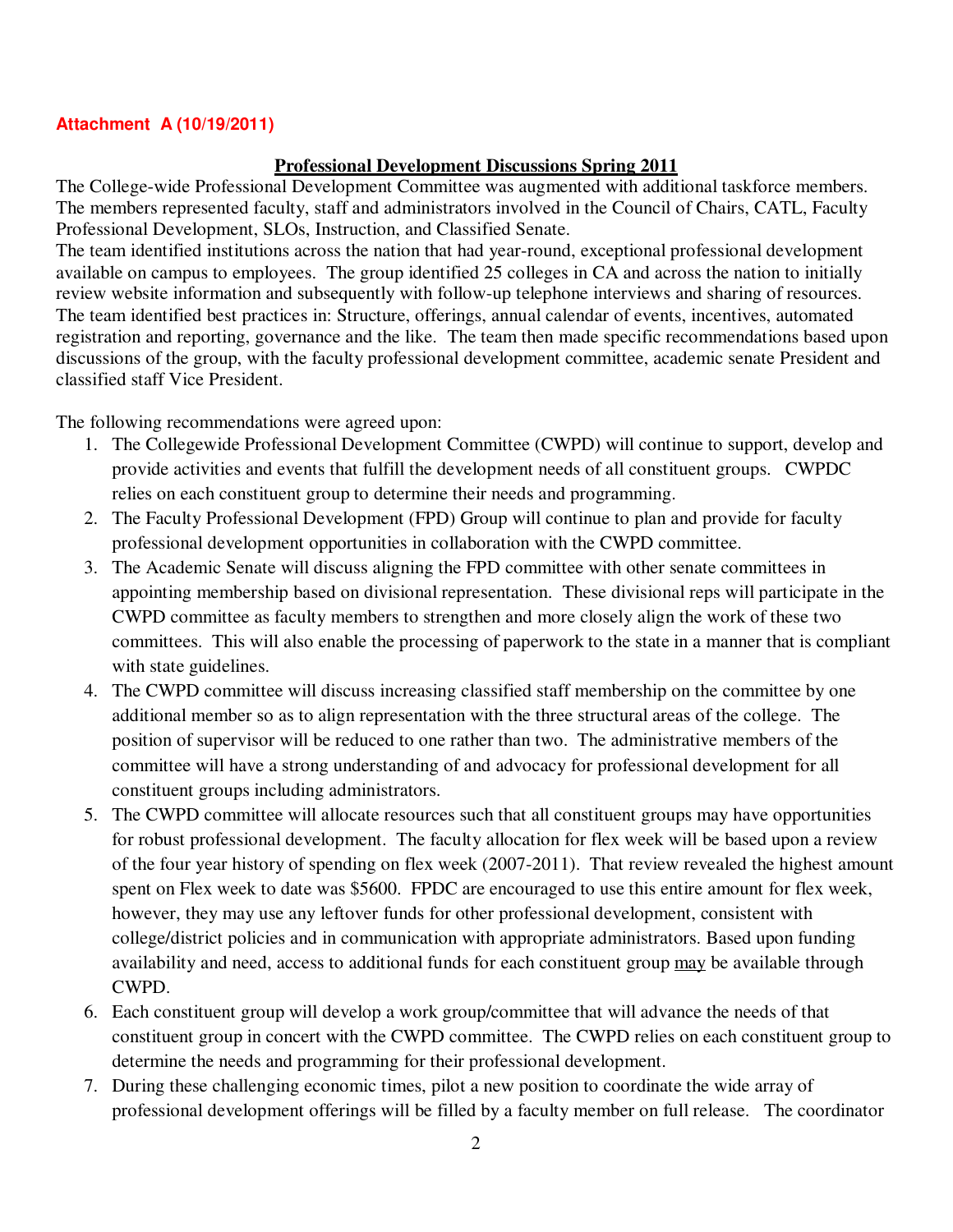#### **Attachment A (10/19/2011)**

#### **Professional Development Discussions Spring 2011**

The College-wide Professional Development Committee was augmented with additional taskforce members. The members represented faculty, staff and administrators involved in the Council of Chairs, CATL, Faculty Professional Development, SLOs, Instruction, and Classified Senate.

The team identified institutions across the nation that had year-round, exceptional professional development available on campus to employees. The group identified 25 colleges in CA and across the nation to initially review website information and subsequently with follow-up telephone interviews and sharing of resources. The team identified best practices in: Structure, offerings, annual calendar of events, incentives, automated registration and reporting, governance and the like. The team then made specific recommendations based upon discussions of the group, with the faculty professional development committee, academic senate President and classified staff Vice President.

The following recommendations were agreed upon:

- 1. The Collegewide Professional Development Committee (CWPD) will continue to support, develop and provide activities and events that fulfill the development needs of all constituent groups. CWPDC relies on each constituent group to determine their needs and programming.
- 2. The Faculty Professional Development (FPD) Group will continue to plan and provide for faculty professional development opportunities in collaboration with the CWPD committee.
- 3. The Academic Senate will discuss aligning the FPD committee with other senate committees in appointing membership based on divisional representation. These divisional reps will participate in the CWPD committee as faculty members to strengthen and more closely align the work of these two committees. This will also enable the processing of paperwork to the state in a manner that is compliant with state guidelines.
- 4. The CWPD committee will discuss increasing classified staff membership on the committee by one additional member so as to align representation with the three structural areas of the college. The position of supervisor will be reduced to one rather than two. The administrative members of the committee will have a strong understanding of and advocacy for professional development for all constituent groups including administrators.
- 5. The CWPD committee will allocate resources such that all constituent groups may have opportunities for robust professional development. The faculty allocation for flex week will be based upon a review of the four year history of spending on flex week (2007-2011). That review revealed the highest amount spent on Flex week to date was \$5600. FPDC are encouraged to use this entire amount for flex week, however, they may use any leftover funds for other professional development, consistent with college/district policies and in communication with appropriate administrators. Based upon funding availability and need, access to additional funds for each constituent group may be available through CWPD.
- 6. Each constituent group will develop a work group/committee that will advance the needs of that constituent group in concert with the CWPD committee. The CWPD relies on each constituent group to determine the needs and programming for their professional development.
- 7. During these challenging economic times, pilot a new position to coordinate the wide array of professional development offerings will be filled by a faculty member on full release. The coordinator